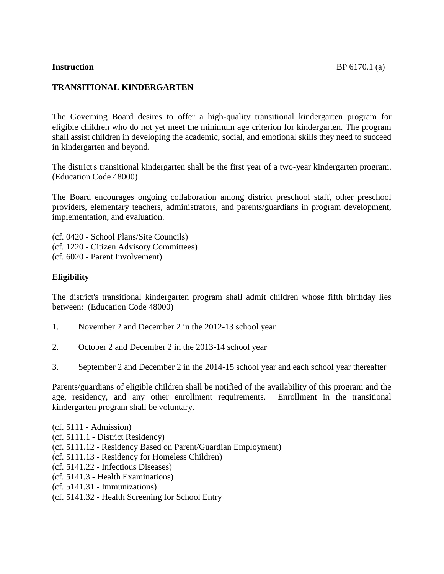## **TRANSITIONAL KINDERGARTEN**

The Governing Board desires to offer a high-quality transitional kindergarten program for eligible children who do not yet meet the minimum age criterion for kindergarten. The program shall assist children in developing the academic, social, and emotional skills they need to succeed in kindergarten and beyond.

The district's transitional kindergarten shall be the first year of a two-year kindergarten program. (Education Code 48000)

The Board encourages ongoing collaboration among district preschool staff, other preschool providers, elementary teachers, administrators, and parents/guardians in program development, implementation, and evaluation.

(cf. 0420 - School Plans/Site Councils) (cf. 1220 - Citizen Advisory Committees) (cf. 6020 - Parent Involvement)

## **Eligibility**

The district's transitional kindergarten program shall admit children whose fifth birthday lies between: (Education Code 48000)

- 1. November 2 and December 2 in the 2012-13 school year
- 2. October 2 and December 2 in the 2013-14 school year
- 3. September 2 and December 2 in the 2014-15 school year and each school year thereafter

Parents/guardians of eligible children shall be notified of the availability of this program and the age, residency, and any other enrollment requirements. Enrollment in the transitional kindergarten program shall be voluntary.

- (cf. 5111 Admission)
- (cf. 5111.1 District Residency)
- (cf. 5111.12 Residency Based on Parent/Guardian Employment)
- (cf. 5111.13 Residency for Homeless Children)
- (cf. 5141.22 Infectious Diseases)
- (cf. 5141.3 Health Examinations)
- (cf. 5141.31 Immunizations)
- (cf. 5141.32 Health Screening for School Entry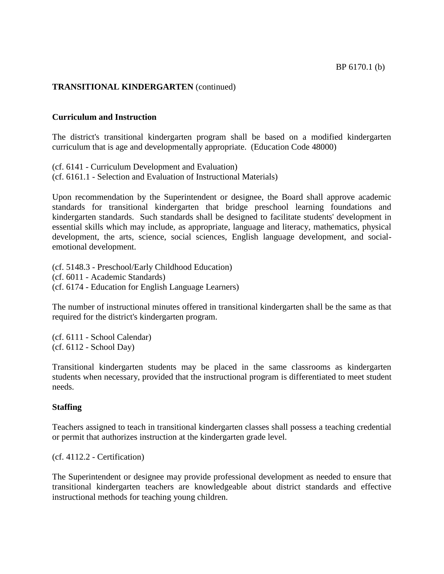## **TRANSITIONAL KINDERGARTEN** (continued)

#### **Curriculum and Instruction**

The district's transitional kindergarten program shall be based on a modified kindergarten curriculum that is age and developmentally appropriate. (Education Code 48000)

(cf. 6141 - Curriculum Development and Evaluation) (cf. 6161.1 - Selection and Evaluation of Instructional Materials)

Upon recommendation by the Superintendent or designee, the Board shall approve academic standards for transitional kindergarten that bridge preschool learning foundations and kindergarten standards. Such standards shall be designed to facilitate students' development in essential skills which may include, as appropriate, language and literacy, mathematics, physical development, the arts, science, social sciences, English language development, and socialemotional development.

(cf. 5148.3 - Preschool/Early Childhood Education) (cf. 6011 - Academic Standards) (cf. 6174 - Education for English Language Learners)

The number of instructional minutes offered in transitional kindergarten shall be the same as that required for the district's kindergarten program.

(cf. 6111 - School Calendar) (cf. 6112 - School Day)

Transitional kindergarten students may be placed in the same classrooms as kindergarten students when necessary, provided that the instructional program is differentiated to meet student needs.

#### **Staffing**

Teachers assigned to teach in transitional kindergarten classes shall possess a teaching credential or permit that authorizes instruction at the kindergarten grade level.

(cf. 4112.2 - Certification)

The Superintendent or designee may provide professional development as needed to ensure that transitional kindergarten teachers are knowledgeable about district standards and effective instructional methods for teaching young children.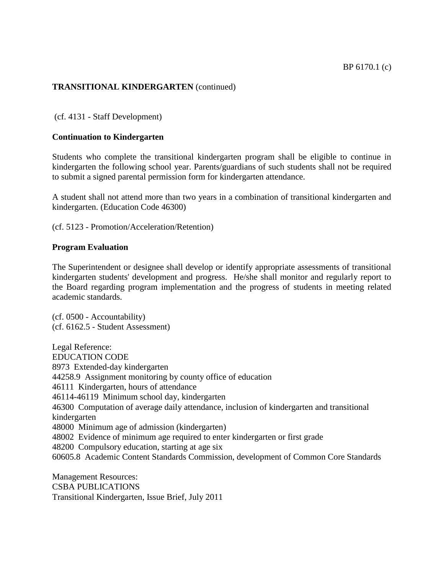## **TRANSITIONAL KINDERGARTEN** (continued)

(cf. 4131 - Staff Development)

#### **Continuation to Kindergarten**

Students who complete the transitional kindergarten program shall be eligible to continue in kindergarten the following school year. Parents/guardians of such students shall not be required to submit a signed parental permission form for kindergarten attendance.

A student shall not attend more than two years in a combination of transitional kindergarten and kindergarten. (Education Code 46300)

(cf. 5123 - Promotion/Acceleration/Retention)

#### **Program Evaluation**

The Superintendent or designee shall develop or identify appropriate assessments of transitional kindergarten students' development and progress. He/she shall monitor and regularly report to the Board regarding program implementation and the progress of students in meeting related academic standards.

(cf. 0500 - Accountability) (cf. 6162.5 - Student Assessment)

Legal Reference: EDUCATION CODE 8973 Extended-day kindergarten 44258.9 Assignment monitoring by county office of education 46111 Kindergarten, hours of attendance 46114-46119 Minimum school day, kindergarten 46300 Computation of average daily attendance, inclusion of kindergarten and transitional kindergarten 48000 Minimum age of admission (kindergarten) 48002 Evidence of minimum age required to enter kindergarten or first grade 48200 Compulsory education, starting at age six 60605.8 Academic Content Standards Commission, development of Common Core Standards

Management Resources: CSBA PUBLICATIONS Transitional Kindergarten, Issue Brief, July 2011